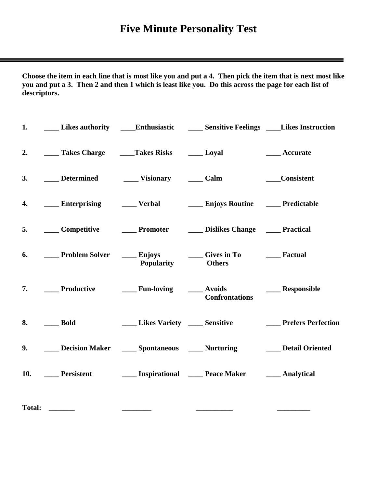# **Five Minute Personality Test**

 $=$ 

**Choose the item in each line that is most like you and put a 4. Then pick the item that is next most like you and put a 3. Then 2 and then 1 which is least like you. Do this across the page for each list of descriptors.** 

| 1.            |                                    |                          | Likes authority _____Enthusiastic _________Sensitive Feelings _____Likes Instruction                                |                  |
|---------------|------------------------------------|--------------------------|---------------------------------------------------------------------------------------------------------------------|------------------|
| 2.            | Takes Charge Takes Risks The Loyal |                          |                                                                                                                     | ___ Accurate     |
| 3.            | Determined Visionary Calm          |                          |                                                                                                                     | ____Consistent   |
| 4.            |                                    |                          | ____ Enterprising ______ Verbal _____ Enjoys Routine _____ Predictable                                              |                  |
| 5.            |                                    |                          | Competitive Promoter Dislikes Change Practical                                                                      |                  |
| 6.            |                                    | <b>Popularity</b> Others | <b>Enjoys</b> Cives in To <b>Englering Englering Cives</b> Controller and To <b>Englering Controller</b> Executed   |                  |
|               |                                    |                          | 7. ______ Productive _________ Fun-loving _______ Avoids<br><b>Confrontations</b>                                   | ____ Responsible |
| 8.            | <b>Bold</b>                        |                          |                                                                                                                     |                  |
| 9.            |                                    |                          | Decision Maker _______ Spontaneous _______ Nurturing ____________ Detail Oriented                                   |                  |
| 10.           |                                    |                          | <b>Example 3</b> Persistent <b>Example 2</b> Inspirational <b>Example 2</b> Peace Maker <b>Example 2</b> Analytical |                  |
| <b>Total:</b> |                                    |                          |                                                                                                                     |                  |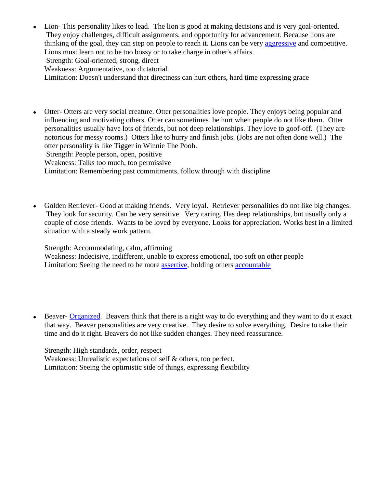- Lion- This personality likes to lead. The lion is good at making decisions and is very goal-oriented.  $\bullet$ They enjoy challenges, difficult assignments, and opportunity for advancement. Because lions are thinking of the goal, they can step on people to reach it. Lions can be very aggressive and competitive. Lions must learn not to be too bossy or to take charge in other's affairs. Strength: Goal-oriented, strong, direct Weakness: Argumentative, too dictatorial Limitation: Doesn't understand that directness can hurt others, hard time expressing grace
- Otter- Otters are very social creature. Otter personalities love people. They enjoys being popular and influencing and motivating others. Otter can sometimes be hurt when people do not like them. Otter personalities usually have lots of friends, but not deep relationships. They love to goof-off. (They are notorious for messy rooms.) Otters like to hurry and finish jobs. (Jobs are not often done well.) The otter personality is like Tigger in Winnie The Pooh.

Strength: People person, open, positive

Weakness: Talks too much, too permissive

Limitation: Remembering past commitments, follow through with discipline

Golden Retriever- Good at making friends. Very loyal. Retriever personalities do not like big changes. They look for security. Can be very sensitive. Very caring. Has deep relationships, but usually only a couple of close friends. Wants to be loved by everyone. Looks for appreciation. Works best in a limited situation with a steady work pattern.

Strength: Accommodating, calm, affirming

Weakness: Indecisive, indifferent, unable to express emotional, too soft on other people Limitation: Seeing the need to be more assertive, holding others accountable

Beaver- Organized. Beavers think that there is a right way to do everything and they want to do it exact that way. Beaver personalities are very creative. They desire to solve everything. Desire to take their time and do it right. Beavers do not like sudden changes. They need reassurance.

Strength: High standards, order, respect Weakness: Unrealistic expectations of self & others, too perfect. Limitation: Seeing the optimistic side of things, expressing flexibility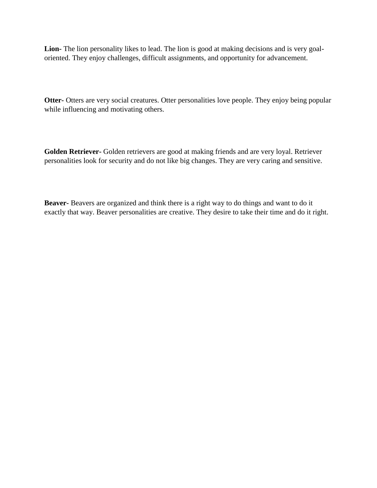**Lion-** The lion personality likes to lead. The lion is good at making decisions and is very goaloriented. They enjoy challenges, difficult assignments, and opportunity for advancement.

**Otter-** Otters are very social creatures. Otter personalities love people. They enjoy being popular while influencing and motivating others.

**Golden Retriever-** Golden retrievers are good at making friends and are very loyal. Retriever personalities look for security and do not like big changes. They are very caring and sensitive.

**Beaver-** Beavers are organized and think there is a right way to do things and want to do it exactly that way. Beaver personalities are creative. They desire to take their time and do it right.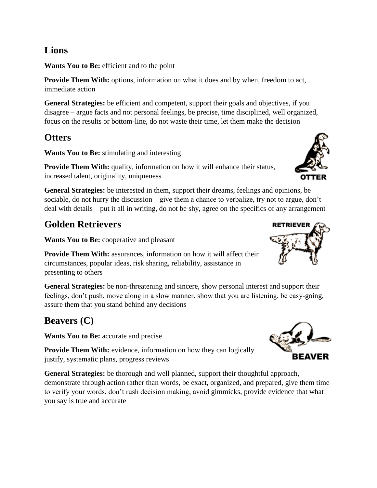### **Lions**

**Wants You to Be:** efficient and to the point

**Provide Them With:** options, information on what it does and by when, freedom to act, immediate action

**General Strategies:** be efficient and competent, support their goals and objectives, if you disagree – argue facts and not personal feelings, be precise, time disciplined, well organized, focus on the results or bottom-line, do not waste their time, let them make the decision

### **Otters**

**Wants You to Be:** stimulating and interesting

**Provide Them With:** quality, information on how it will enhance their status, increased talent, originality, uniqueness

**General Strategies:** be interested in them, support their dreams, feelings and opinions, be sociable, do not hurry the discussion – give them a chance to verbalize, try not to argue, don't deal with details – put it all in writing, do not be shy, agree on the specifics of any arrangement

### **Golden Retrievers**

**Wants You to Be:** cooperative and pleasant

**Provide Them With:** assurances, information on how it will affect their circumstances, popular ideas, risk sharing, reliability, assistance in presenting to others

**General Strategies:** be non-threatening and sincere, show personal interest and support their feelings, don't push, move along in a slow manner, show that you are listening, be easy-going, assure them that you stand behind any decisions

## **Beavers (C)**

**Wants You to Be:** accurate and precise

**Provide Them With:** evidence, information on how they can logically justify, systematic plans, progress reviews

**General Strategies:** be thorough and well planned, support their thoughtful approach, demonstrate through action rather than words, be exact, organized, and prepared, give them time to verify your words, don't rush decision making, avoid gimmicks, provide evidence that what you say is true and accurate